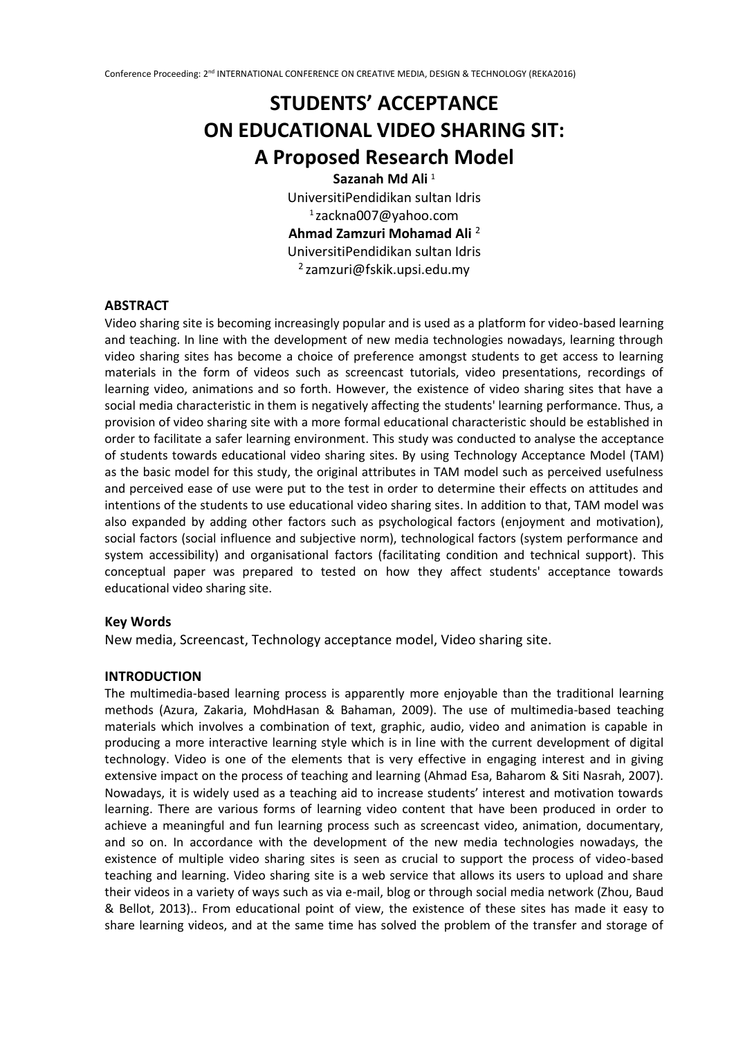# **STUDENTS' ACCEPTANCE ON EDUCATIONAL VIDEO SHARING SIT: A Proposed Research Model Sazanah Md Ali** <sup>1</sup>

UniversitiPendidikan sultan Idris <sup>1</sup> zackna007@yahoo.com **Ahmad Zamzuri Mohamad Ali** <sup>2</sup> UniversitiPendidikan sultan Idris  $2$ zamzuri@fskik.upsi.edu.my

# **ABSTRACT**

Video sharing site is becoming increasingly popular and is used as a platform for video-based learning and teaching. In line with the development of new media technologies nowadays, learning through video sharing sites has become a choice of preference amongst students to get access to learning materials in the form of videos such as screencast tutorials, video presentations, recordings of learning video, animations and so forth. However, the existence of video sharing sites that have a social media characteristic in them is negatively affecting the students' learning performance. Thus, a provision of video sharing site with a more formal educational characteristic should be established in order to facilitate a safer learning environment. This study was conducted to analyse the acceptance of students towards educational video sharing sites. By using Technology Acceptance Model (TAM) as the basic model for this study, the original attributes in TAM model such as perceived usefulness and perceived ease of use were put to the test in order to determine their effects on attitudes and intentions of the students to use educational video sharing sites. In addition to that, TAM model was also expanded by adding other factors such as psychological factors (enjoyment and motivation), social factors (social influence and subjective norm), technological factors (system performance and system accessibility) and organisational factors (facilitating condition and technical support). This conceptual paper was prepared to tested on how they affect students' acceptance towards educational video sharing site.

#### **Key Words**

New media, Screencast, Technology acceptance model, Video sharing site.

#### **INTRODUCTION**

The multimedia-based learning process is apparently more enjoyable than the traditional learning methods (Azura, Zakaria, MohdHasan & Bahaman, 2009). The use of multimedia-based teaching materials which involves a combination of text, graphic, audio, video and animation is capable in producing a more interactive learning style which is in line with the current development of digital technology. Video is one of the elements that is very effective in engaging interest and in giving extensive impact on the process of teaching and learning (Ahmad Esa, Baharom & Siti Nasrah, 2007). Nowadays, it is widely used as a teaching aid to increase students' interest and motivation towards learning. There are various forms of learning video content that have been produced in order to achieve a meaningful and fun learning process such as screencast video, animation, documentary, and so on. In accordance with the development of the new media technologies nowadays, the existence of multiple video sharing sites is seen as crucial to support the process of video-based teaching and learning. Video sharing site is a web service that allows its users to upload and share their videos in a variety of ways such as via e-mail, blog or through social media network (Zhou, Baud & Bellot, 2013).. From educational point of view, the existence of these sites has made it easy to share learning videos, and at the same time has solved the problem of the transfer and storage of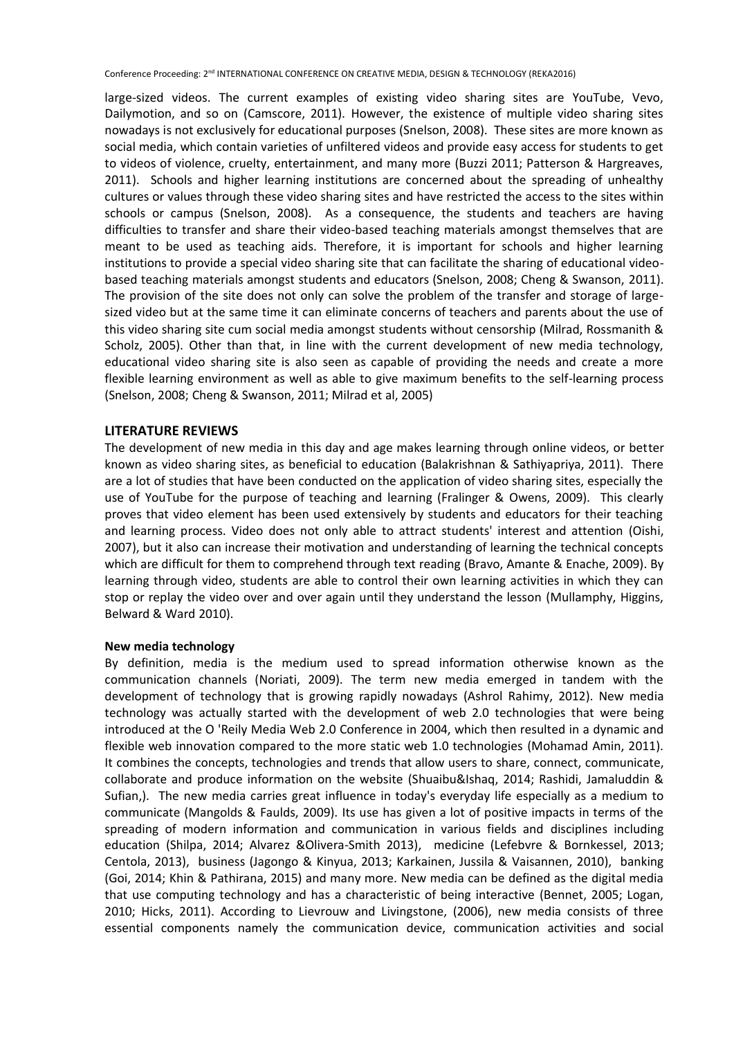large-sized videos. The current examples of existing video sharing sites are YouTube, Vevo, Dailymotion, and so on (Camscore, 2011). However, the existence of multiple video sharing sites nowadays is not exclusively for educational purposes (Snelson, 2008). These sites are more known as social media, which contain varieties of unfiltered videos and provide easy access for students to get to videos of violence, cruelty, entertainment, and many more (Buzzi 2011; Patterson & Hargreaves, 2011). Schools and higher learning institutions are concerned about the spreading of unhealthy cultures or values through these video sharing sites and have restricted the access to the sites within schools or campus (Snelson, 2008). As a consequence, the students and teachers are having difficulties to transfer and share their video-based teaching materials amongst themselves that are meant to be used as teaching aids. Therefore, it is important for schools and higher learning institutions to provide a special video sharing site that can facilitate the sharing of educational videobased teaching materials amongst students and educators (Snelson, 2008; Cheng & Swanson, 2011). The provision of the site does not only can solve the problem of the transfer and storage of largesized video but at the same time it can eliminate concerns of teachers and parents about the use of this video sharing site cum social media amongst students without censorship (Milrad, Rossmanith & Scholz, 2005). Other than that, in line with the current development of new media technology, educational video sharing site is also seen as capable of providing the needs and create a more flexible learning environment as well as able to give maximum benefits to the self-learning process (Snelson, 2008; Cheng & Swanson, 2011; Milrad et al, 2005)

### **LITERATURE REVIEWS**

The development of new media in this day and age makes learning through online videos, or better known as video sharing sites, as beneficial to education (Balakrishnan & Sathiyapriya, 2011). There are a lot of studies that have been conducted on the application of video sharing sites, especially the use of YouTube for the purpose of teaching and learning (Fralinger & Owens, 2009). This clearly proves that video element has been used extensively by students and educators for their teaching and learning process. Video does not only able to attract students' interest and attention (Oishi, 2007), but it also can increase their motivation and understanding of learning the technical concepts which are difficult for them to comprehend through text reading (Bravo, Amante & Enache, 2009). By learning through video, students are able to control their own learning activities in which they can stop or replay the video over and over again until they understand the lesson (Mullamphy, Higgins, Belward & Ward 2010).

#### **New media technology**

By definition, media is the medium used to spread information otherwise known as the communication channels (Noriati, 2009). The term new media emerged in tandem with the development of technology that is growing rapidly nowadays (Ashrol Rahimy, 2012). New media technology was actually started with the development of web 2.0 technologies that were being introduced at the O 'Reily Media Web 2.0 Conference in 2004, which then resulted in a dynamic and flexible web innovation compared to the more static web 1.0 technologies (Mohamad Amin, 2011). It combines the concepts, technologies and trends that allow users to share, connect, communicate, collaborate and produce information on the website (Shuaibu&Ishaq, 2014; Rashidi, Jamaluddin & Sufian,). The new media carries great influence in today's everyday life especially as a medium to communicate (Mangolds & Faulds, 2009). Its use has given a lot of positive impacts in terms of the spreading of modern information and communication in various fields and disciplines including education (Shilpa, 2014; Alvarez &Olivera-Smith 2013), medicine (Lefebvre & Bornkessel, 2013; Centola, 2013), business (Jagongo & Kinyua, 2013; Karkainen, Jussila & Vaisannen, 2010), banking (Goi, 2014; Khin & Pathirana, 2015) and many more. New media can be defined as the digital media that use computing technology and has a characteristic of being interactive (Bennet, 2005; Logan, 2010; Hicks, 2011). According to Lievrouw and Livingstone, (2006), new media consists of three essential components namely the communication device, communication activities and social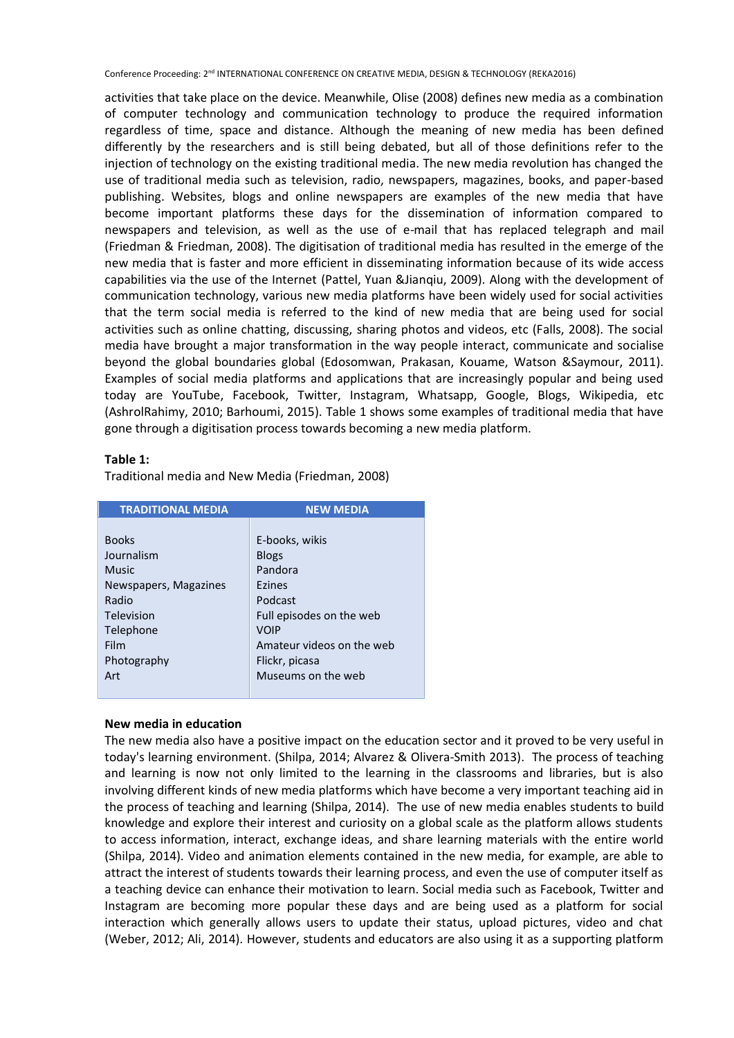activities that take place on the device. Meanwhile, Olise (2008) defines new media as a combination of computer technology and communication technology to produce the required information regardless of time, space and distance. Although the meaning of new media has been defined differently by the researchers and is still being debated, but all of those definitions refer to the injection of technology on the existing traditional media. The new media revolution has changed the use of traditional media such as television, radio, newspapers, magazines, books, and paper-based publishing. Websites, blogs and online newspapers are examples of the new media that have become important platforms these days for the dissemination of information compared to newspapers and television, as well as the use of e-mail that has replaced telegraph and mail (Friedman & Friedman, 2008). The digitisation of traditional media has resulted in the emerge of the new media that is faster and more efficient in disseminating information because of its wide access capabilities via the use of the Internet (Pattel, Yuan &Jianqiu, 2009). Along with the development of communication technology, various new media platforms have been widely used for social activities that the term social media is referred to the kind of new media that are being used for social activities such as online chatting, discussing, sharing photos and videos, etc (Falls, 2008). The social media have brought a major transformation in the way people interact, communicate and socialise beyond the global boundaries global (Edosomwan, Prakasan, Kouame, Watson &Saymour, 2011). Examples of social media platforms and applications that are increasingly popular and being used today are YouTube, Facebook, Twitter, Instagram, Whatsapp, Google, Blogs, Wikipedia, etc (AshrolRahimy, 2010; Barhoumi, 2015). Table 1 shows some examples of traditional media that have gone through a digitisation process towards becoming a new media platform.

#### **Table 1:**

Traditional media and New Media (Friedman, 2008)

| <b>TRADITIONAL MEDIA</b> | <b>NEW MEDIA</b>          |
|--------------------------|---------------------------|
|                          |                           |
| <b>Books</b>             | E-books, wikis            |
| Journalism               | <b>Blogs</b>              |
| <b>Music</b>             | Pandora                   |
| Newspapers, Magazines    | Ezines                    |
| Radio                    | Podcast                   |
| Television               | Full episodes on the web  |
| Telephone                | <b>VOIP</b>               |
| Film                     | Amateur videos on the web |
| Photography              | Flickr, picasa            |
| Art                      | Museums on the web        |
|                          |                           |

## **New media in education**

The new media also have a positive impact on the education sector and it proved to be very useful in today's learning environment. (Shilpa, 2014; Alvarez & Olivera-Smith 2013). The process of teaching and learning is now not only limited to the learning in the classrooms and libraries, but is also involving different kinds of new media platforms which have become a very important teaching aid in the process of teaching and learning (Shilpa, 2014). The use of new media enables students to build knowledge and explore their interest and curiosity on a global scale as the platform allows students to access information, interact, exchange ideas, and share learning materials with the entire world (Shilpa, 2014). Video and animation elements contained in the new media, for example, are able to attract the interest of students towards their learning process, and even the use of computer itself as a teaching device can enhance their motivation to learn. Social media such as Facebook, Twitter and Instagram are becoming more popular these days and are being used as a platform for social interaction which generally allows users to update their status, upload pictures, video and chat (Weber, 2012; Ali, 2014). However, students and educators are also using it as a supporting platform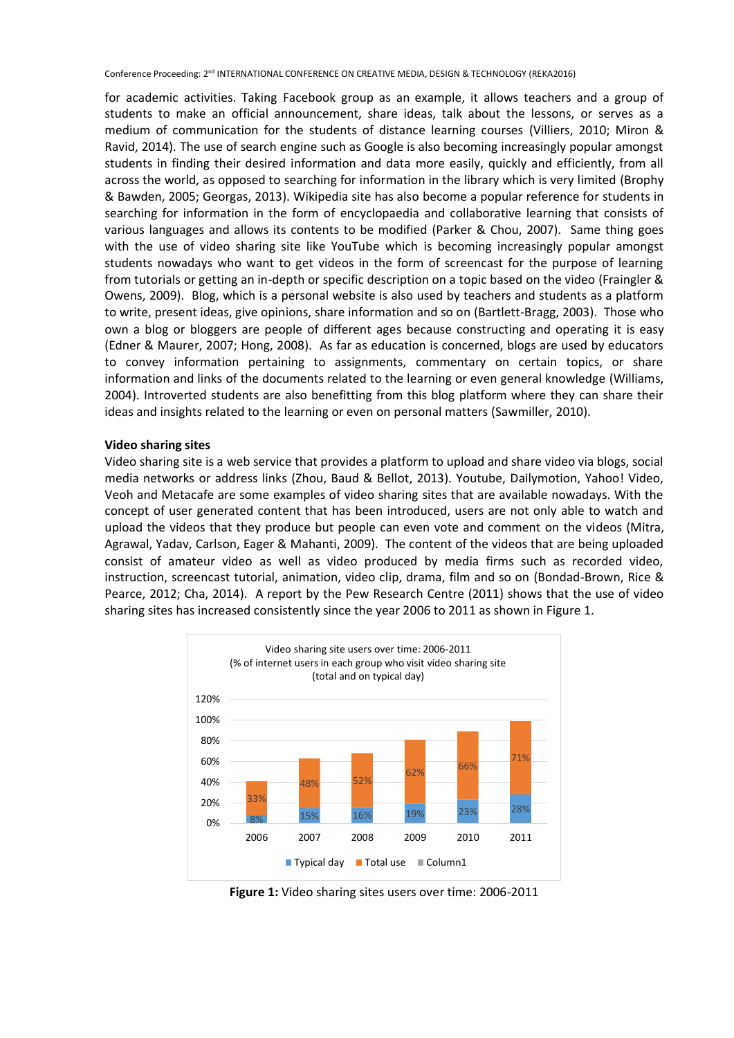for academic activities. Taking Facebook group as an example, it allows teachers and a group of students to make an official announcement, share ideas, talk about the lessons, or serves as a medium of communication for the students of distance learning courses (Villiers, 2010; Miron & Ravid, 2014). The use of search engine such as Google is also becoming increasingly popular amongst students in finding their desired information and data more easily, quickly and efficiently, from all across the world, as opposed to searching for information in the library which is very limited (Brophy & Bawden, 2005; Georgas, 2013). Wikipedia site has also become a popular reference for students in searching for information in the form of encyclopaedia and collaborative learning that consists of various languages and allows its contents to be modified (Parker & Chou, 2007). Same thing goes with the use of video sharing site like YouTube which is becoming increasingly popular amongst students nowadays who want to get videos in the form of screencast for the purpose of learning from tutorials or getting an in-depth or specific description on a topic based on the video (Fraingler & Owens, 2009). Blog, which is a personal website is also used by teachers and students as a platform to write, present ideas, give opinions, share information and so on (Bartlett-Bragg, 2003). Those who own a blog or bloggers are people of different ages because constructing and operating it is easy (Edner & Maurer, 2007; Hong, 2008). As far as education is concerned, blogs are used by educators to convey information pertaining to assignments, commentary on certain topics, or share information and links of the documents related to the learning or even general knowledge (Williams, 2004). Introverted students are also benefitting from this blog platform where they can share their ideas and insights related to the learning or even on personal matters (Sawmiller, 2010).

#### **Video sharing sites**

Video sharing site is a web service that provides a platform to upload and share video via blogs, social media networks or address links (Zhou, Baud & Bellot, 2013). Youtube, Dailymotion, Yahoo! Video, Veoh and Metacafe are some examples of video sharing sites that are available nowadays. With the concept of user generated content that has been introduced, users are not only able to watch and upload the videos that they produce but people can even vote and comment on the videos (Mitra, Agrawal, Yadav, Carlson, Eager & Mahanti, 2009). The content of the videos that are being uploaded consist of amateur video as well as video produced by media firms such as recorded video, instruction, screencast tutorial, animation, video clip, drama, film and so on (Bondad-Brown, Rice & Pearce, 2012; Cha, 2014). A report by the Pew Research Centre (2011) shows that the use of video sharing sites has increased consistently since the year 2006 to 2011 as shown in Figure 1.



**Figure 1:** Video sharing sites users over time: 2006-2011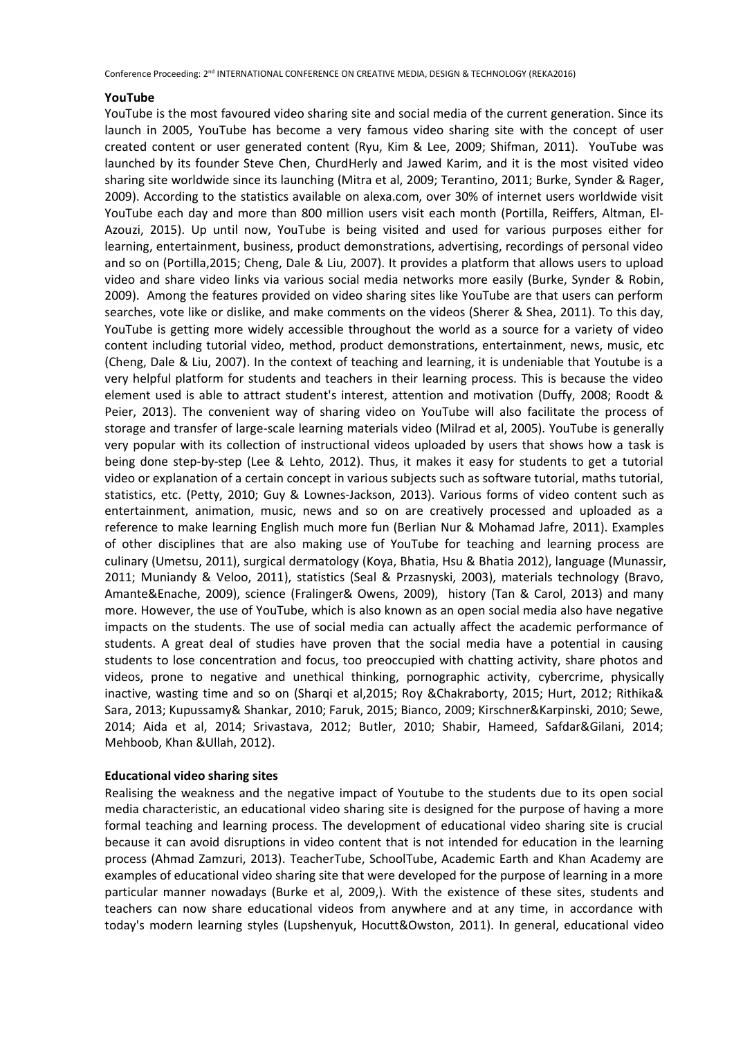#### **YouTube**

YouTube is the most favoured video sharing site and social media of the current generation. Since its launch in 2005, YouTube has become a very famous video sharing site with the concept of user created content or user generated content (Ryu, Kim & Lee, 2009; Shifman, 2011). YouTube was launched by its founder Steve Chen, ChurdHerly and Jawed Karim, and it is the most visited video sharing site worldwide since its launching (Mitra et al, 2009; Terantino, 2011; Burke, Synder & Rager, 2009). According to the statistics available on alexa.com, over 30% of internet users worldwide visit YouTube each day and more than 800 million users visit each month (Portilla, Reiffers, Altman, El-Azouzi, 2015). Up until now, YouTube is being visited and used for various purposes either for learning, entertainment, business, product demonstrations, advertising, recordings of personal video and so on (Portilla,2015; Cheng, Dale & Liu, 2007). It provides a platform that allows users to upload video and share video links via various social media networks more easily (Burke, Synder & Robin, 2009). Among the features provided on video sharing sites like YouTube are that users can perform searches, vote like or dislike, and make comments on the videos (Sherer & Shea, 2011). To this day, YouTube is getting more widely accessible throughout the world as a source for a variety of video content including tutorial video, method, product demonstrations, entertainment, news, music, etc (Cheng, Dale & Liu, 2007). In the context of teaching and learning, it is undeniable that Youtube is a very helpful platform for students and teachers in their learning process. This is because the video element used is able to attract student's interest, attention and motivation (Duffy, 2008; Roodt & Peier, 2013). The convenient way of sharing video on YouTube will also facilitate the process of storage and transfer of large-scale learning materials video (Milrad et al, 2005). YouTube is generally very popular with its collection of instructional videos uploaded by users that shows how a task is being done step-by-step (Lee & Lehto, 2012). Thus, it makes it easy for students to get a tutorial video or explanation of a certain concept in various subjects such as software tutorial, maths tutorial, statistics, etc. (Petty, 2010; Guy & Lownes-Jackson, 2013). Various forms of video content such as entertainment, animation, music, news and so on are creatively processed and uploaded as a reference to make learning English much more fun (Berlian Nur & Mohamad Jafre, 2011). Examples of other disciplines that are also making use of YouTube for teaching and learning process are culinary (Umetsu, 2011), surgical dermatology (Koya, Bhatia, Hsu & Bhatia 2012), language (Munassir, 2011; Muniandy & Veloo, 2011), statistics (Seal & Przasnyski, 2003), materials technology (Bravo, Amante&Enache, 2009), science (Fralinger& Owens, 2009), history (Tan & Carol, 2013) and many more. However, the use of YouTube, which is also known as an open social media also have negative impacts on the students. The use of social media can actually affect the academic performance of students. A great deal of studies have proven that the social media have a potential in causing students to lose concentration and focus, too preoccupied with chatting activity, share photos and videos, prone to negative and unethical thinking, pornographic activity, cybercrime, physically inactive, wasting time and so on (Sharqi et al,2015; Roy &Chakraborty, 2015; Hurt, 2012; Rithika& Sara, 2013; Kupussamy& Shankar, 2010; Faruk, 2015; Bianco, 2009; Kirschner&Karpinski, 2010; Sewe, 2014; Aida et al, 2014; Srivastava, 2012; Butler, 2010; Shabir, Hameed, Safdar&Gilani, 2014; Mehboob, Khan &Ullah, 2012).

#### **Educational video sharing sites**

Realising the weakness and the negative impact of Youtube to the students due to its open social media characteristic, an educational video sharing site is designed for the purpose of having a more formal teaching and learning process. The development of educational video sharing site is crucial because it can avoid disruptions in video content that is not intended for education in the learning process (Ahmad Zamzuri, 2013). TeacherTube, SchoolTube, Academic Earth and Khan Academy are examples of educational video sharing site that were developed for the purpose of learning in a more particular manner nowadays (Burke et al, 2009,). With the existence of these sites, students and teachers can now share educational videos from anywhere and at any time, in accordance with today's modern learning styles (Lupshenyuk, Hocutt&Owston, 2011). In general, educational video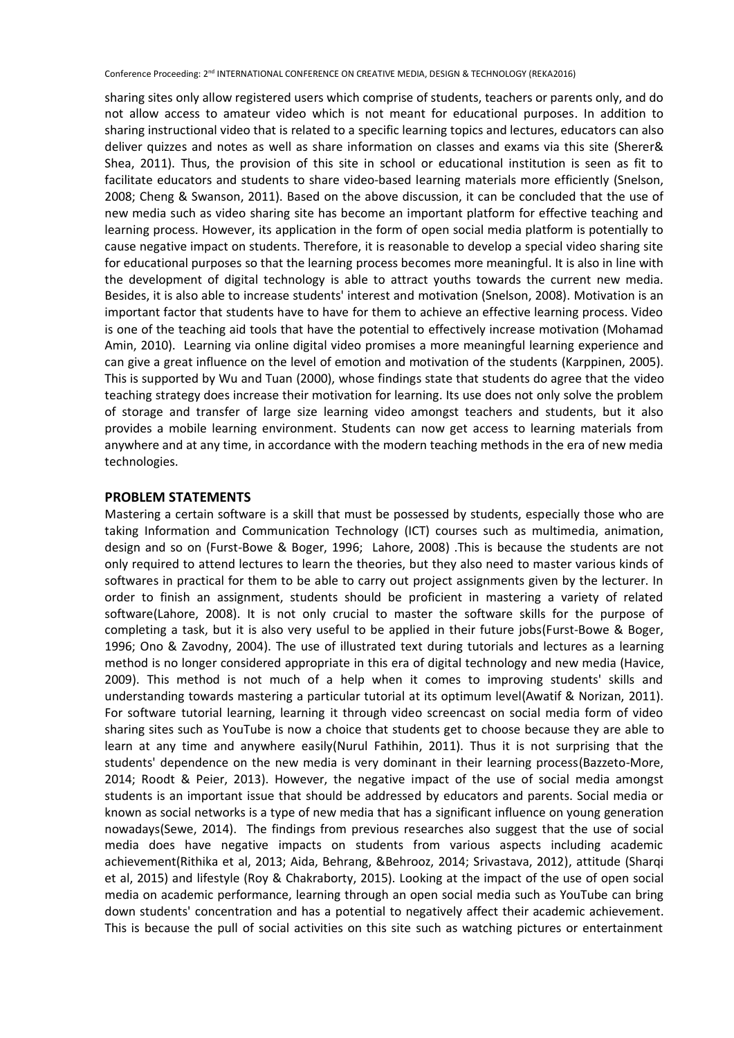sharing sites only allow registered users which comprise of students, teachers or parents only, and do not allow access to amateur video which is not meant for educational purposes. In addition to sharing instructional video that is related to a specific learning topics and lectures, educators can also deliver quizzes and notes as well as share information on classes and exams via this site (Sherer& Shea, 2011). Thus, the provision of this site in school or educational institution is seen as fit to facilitate educators and students to share video-based learning materials more efficiently (Snelson, 2008; Cheng & Swanson, 2011). Based on the above discussion, it can be concluded that the use of new media such as video sharing site has become an important platform for effective teaching and learning process. However, its application in the form of open social media platform is potentially to cause negative impact on students. Therefore, it is reasonable to develop a special video sharing site for educational purposes so that the learning process becomes more meaningful. It is also in line with the development of digital technology is able to attract youths towards the current new media. Besides, it is also able to increase students' interest and motivation (Snelson, 2008). Motivation is an important factor that students have to have for them to achieve an effective learning process. Video is one of the teaching aid tools that have the potential to effectively increase motivation (Mohamad Amin, 2010). Learning via online digital video promises a more meaningful learning experience and can give a great influence on the level of emotion and motivation of the students (Karppinen, 2005). This is supported by Wu and Tuan (2000), whose findings state that students do agree that the video teaching strategy does increase their motivation for learning. Its use does not only solve the problem of storage and transfer of large size learning video amongst teachers and students, but it also provides a mobile learning environment. Students can now get access to learning materials from anywhere and at any time, in accordance with the modern teaching methods in the era of new media technologies.

## **PROBLEM STATEMENTS**

Mastering a certain software is a skill that must be possessed by students, especially those who are taking Information and Communication Technology (ICT) courses such as multimedia, animation, design and so on (Furst-Bowe & Boger, 1996; Lahore, 2008) .This is because the students are not only required to attend lectures to learn the theories, but they also need to master various kinds of softwares in practical for them to be able to carry out project assignments given by the lecturer. In order to finish an assignment, students should be proficient in mastering a variety of related software(Lahore, 2008). It is not only crucial to master the software skills for the purpose of completing a task, but it is also very useful to be applied in their future jobs(Furst-Bowe & Boger, 1996; Ono & Zavodny, 2004). The use of illustrated text during tutorials and lectures as a learning method is no longer considered appropriate in this era of digital technology and new media (Havice, 2009). This method is not much of a help when it comes to improving students' skills and understanding towards mastering a particular tutorial at its optimum level(Awatif & Norizan, 2011). For software tutorial learning, learning it through video screencast on social media form of video sharing sites such as YouTube is now a choice that students get to choose because they are able to learn at any time and anywhere easily(Nurul Fathihin, 2011). Thus it is not surprising that the students' dependence on the new media is very dominant in their learning process(Bazzeto-More, 2014; Roodt & Peier, 2013). However, the negative impact of the use of social media amongst students is an important issue that should be addressed by educators and parents. Social media or known as social networks is a type of new media that has a significant influence on young generation nowadays(Sewe, 2014). The findings from previous researches also suggest that the use of social media does have negative impacts on students from various aspects including academic achievement(Rithika et al, 2013; Aida, Behrang, &Behrooz, 2014; Srivastava, 2012), attitude (Sharqi et al, 2015) and lifestyle (Roy & Chakraborty, 2015). Looking at the impact of the use of open social media on academic performance, learning through an open social media such as YouTube can bring down students' concentration and has a potential to negatively affect their academic achievement. This is because the pull of social activities on this site such as watching pictures or entertainment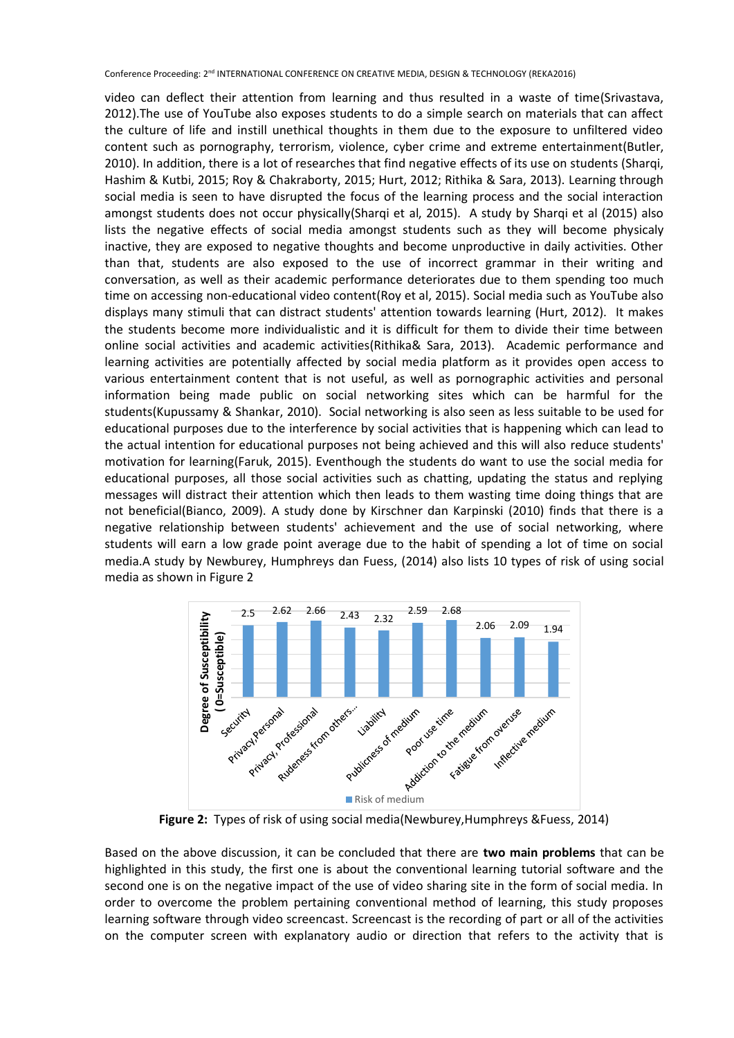video can deflect their attention from learning and thus resulted in a waste of time(Srivastava, 2012).The use of YouTube also exposes students to do a simple search on materials that can affect the culture of life and instill unethical thoughts in them due to the exposure to unfiltered video content such as pornography, terrorism, violence, cyber crime and extreme entertainment(Butler, 2010). In addition, there is a lot of researches that find negative effects of its use on students (Sharqi, Hashim & Kutbi, 2015; Roy & Chakraborty, 2015; Hurt, 2012; Rithika & Sara, 2013). Learning through social media is seen to have disrupted the focus of the learning process and the social interaction amongst students does not occur physically(Sharqi et al, 2015). A study by Sharqi et al (2015) also lists the negative effects of social media amongst students such as they will become physicaly inactive, they are exposed to negative thoughts and become unproductive in daily activities. Other than that, students are also exposed to the use of incorrect grammar in their writing and conversation, as well as their academic performance deteriorates due to them spending too much time on accessing non-educational video content(Roy et al, 2015). Social media such as YouTube also displays many stimuli that can distract students' attention towards learning (Hurt, 2012). It makes the students become more individualistic and it is difficult for them to divide their time between online social activities and academic activities(Rithika& Sara, 2013). Academic performance and learning activities are potentially affected by social media platform as it provides open access to various entertainment content that is not useful, as well as pornographic activities and personal information being made public on social networking sites which can be harmful for the students(Kupussamy & Shankar, 2010). Social networking is also seen as less suitable to be used for educational purposes due to the interference by social activities that is happening which can lead to the actual intention for educational purposes not being achieved and this will also reduce students' motivation for learning(Faruk, 2015). Eventhough the students do want to use the social media for educational purposes, all those social activities such as chatting, updating the status and replying messages will distract their attention which then leads to them wasting time doing things that are not beneficial(Bianco, 2009). A study done by Kirschner dan Karpinski (2010) finds that there is a negative relationship between students' achievement and the use of social networking, where students will earn a low grade point average due to the habit of spending a lot of time on social media.A study by Newburey, Humphreys dan Fuess, (2014) also lists 10 types of risk of using social media as shown in Figure 2



**Figure 2:** Types of risk of using social media(Newburey,Humphreys &Fuess, 2014)

Based on the above discussion, it can be concluded that there are **two main problems** that can be highlighted in this study, the first one is about the conventional learning tutorial software and the second one is on the negative impact of the use of video sharing site in the form of social media. In order to overcome the problem pertaining conventional method of learning, this study proposes learning software through video screencast. Screencast is the recording of part or all of the activities on the computer screen with explanatory audio or direction that refers to the activity that is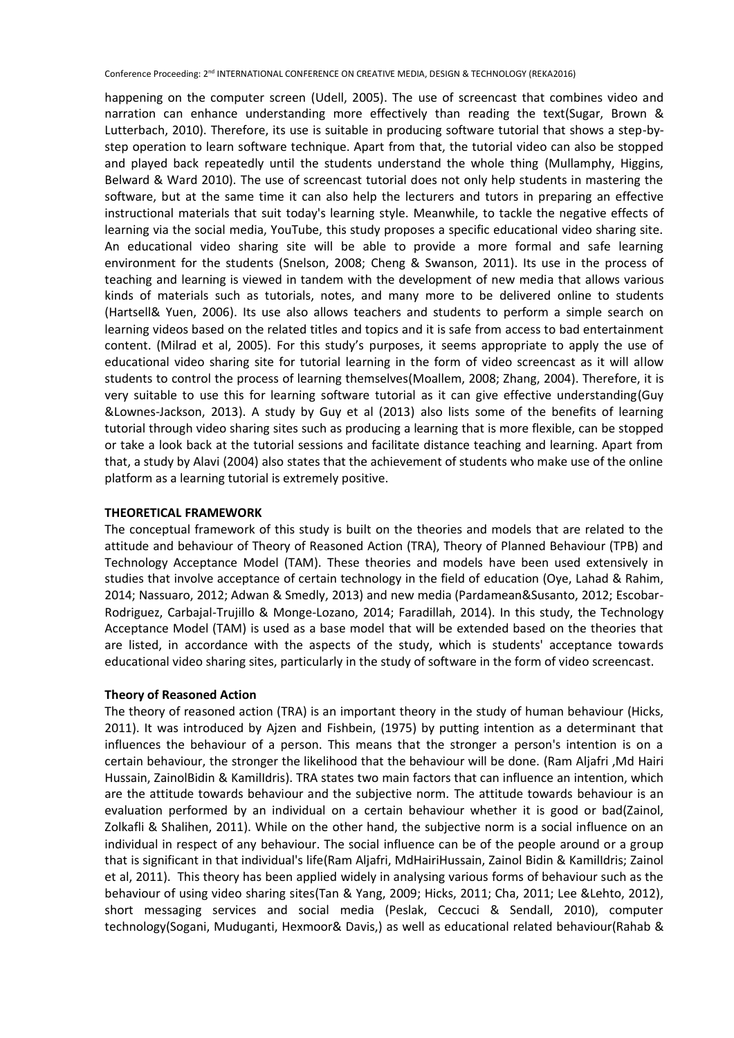happening on the computer screen (Udell, 2005). The use of screencast that combines video and narration can enhance understanding more effectively than reading the text(Sugar, Brown & Lutterbach, 2010). Therefore, its use is suitable in producing software tutorial that shows a step-bystep operation to learn software technique. Apart from that, the tutorial video can also be stopped and played back repeatedly until the students understand the whole thing (Mullamphy, Higgins, Belward & Ward 2010). The use of screencast tutorial does not only help students in mastering the software, but at the same time it can also help the lecturers and tutors in preparing an effective instructional materials that suit today's learning style. Meanwhile, to tackle the negative effects of learning via the social media, YouTube, this study proposes a specific educational video sharing site. An educational video sharing site will be able to provide a more formal and safe learning environment for the students (Snelson, 2008; Cheng & Swanson, 2011). Its use in the process of teaching and learning is viewed in tandem with the development of new media that allows various kinds of materials such as tutorials, notes, and many more to be delivered online to students (Hartsell& Yuen, 2006). Its use also allows teachers and students to perform a simple search on learning videos based on the related titles and topics and it is safe from access to bad entertainment content. (Milrad et al, 2005). For this study's purposes, it seems appropriate to apply the use of educational video sharing site for tutorial learning in the form of video screencast as it will allow students to control the process of learning themselves(Moallem, 2008; Zhang, 2004). Therefore, it is very suitable to use this for learning software tutorial as it can give effective understanding(Guy &Lownes-Jackson, 2013). A study by Guy et al (2013) also lists some of the benefits of learning tutorial through video sharing sites such as producing a learning that is more flexible, can be stopped or take a look back at the tutorial sessions and facilitate distance teaching and learning. Apart from that, a study by Alavi (2004) also states that the achievement of students who make use of the online platform as a learning tutorial is extremely positive.

#### **THEORETICAL FRAMEWORK**

The conceptual framework of this study is built on the theories and models that are related to the attitude and behaviour of Theory of Reasoned Action (TRA), Theory of Planned Behaviour (TPB) and Technology Acceptance Model (TAM). These theories and models have been used extensively in studies that involve acceptance of certain technology in the field of education (Oye, Lahad & Rahim, 2014; Nassuaro, 2012; Adwan & Smedly, 2013) and new media (Pardamean&Susanto, 2012; Escobar-Rodriguez, Carbajal-Trujillo & Monge-Lozano, 2014; Faradillah, 2014). In this study, the Technology Acceptance Model (TAM) is used as a base model that will be extended based on the theories that are listed, in accordance with the aspects of the study, which is students' acceptance towards educational video sharing sites, particularly in the study of software in the form of video screencast.

#### **Theory of Reasoned Action**

The theory of reasoned action (TRA) is an important theory in the study of human behaviour (Hicks, 2011). It was introduced by Ajzen and Fishbein, (1975) by putting intention as a determinant that influences the behaviour of a person. This means that the stronger a person's intention is on a certain behaviour, the stronger the likelihood that the behaviour will be done. (Ram Aljafri ,Md Hairi Hussain, ZainolBidin & KamilIdris). TRA states two main factors that can influence an intention, which are the attitude towards behaviour and the subjective norm*.* The attitude towards behaviour is an evaluation performed by an individual on a certain behaviour whether it is good or bad(Zainol, Zolkafli & Shalihen, 2011). While on the other hand, the subjective norm is a social influence on an individual in respect of any behaviour. The social influence can be of the people around or a group that is significant in that individual's life(Ram Aljafri, MdHairiHussain, Zainol Bidin & KamilIdris; Zainol et al, 2011). This theory has been applied widely in analysing various forms of behaviour such as the behaviour of using video sharing sites(Tan & Yang, 2009; Hicks, 2011; Cha, 2011; Lee &Lehto, 2012), short messaging services and social media (Peslak, Ceccuci & Sendall, 2010), computer technology(Sogani, Muduganti, Hexmoor& Davis,) as well as educational related behaviour(Rahab &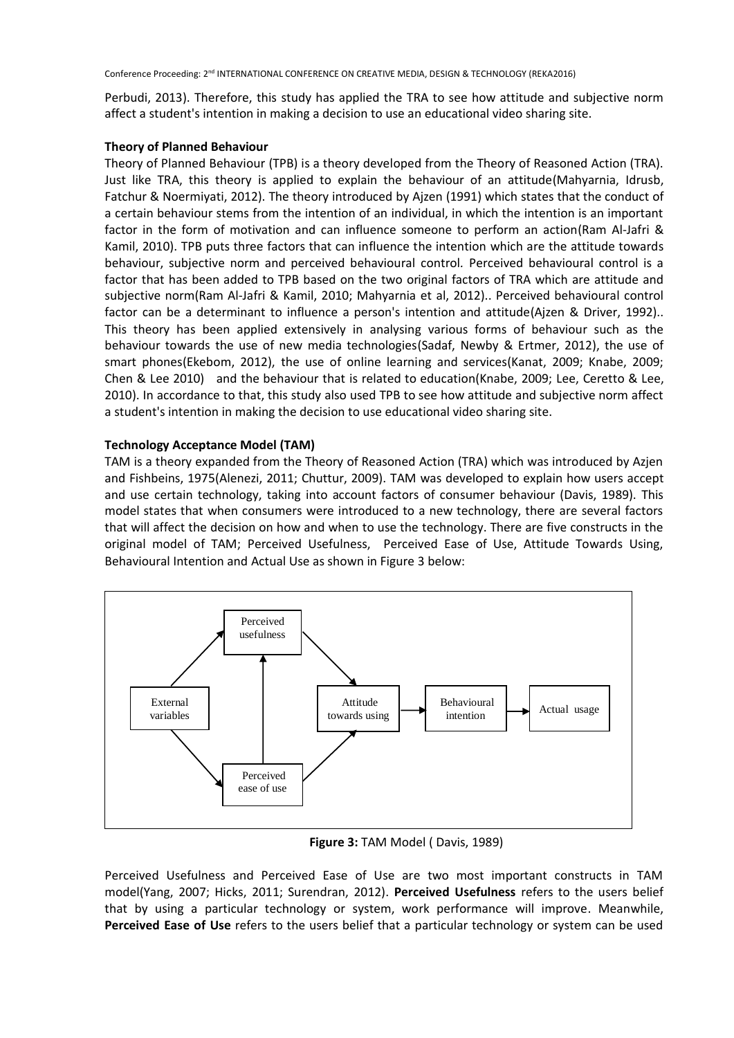Perbudi, 2013). Therefore, this study has applied the TRA to see how attitude and subjective norm affect a student's intention in making a decision to use an educational video sharing site.

# **Theory of Planned Behaviour**

Theory of Planned Behaviour (TPB) is a theory developed from the Theory of Reasoned Action (TRA). Just like TRA, this theory is applied to explain the behaviour of an attitude(Mahyarnia, Idrusb, Fatchur & Noermiyati, 2012). The theory introduced by Ajzen (1991) which states that the conduct of a certain behaviour stems from the intention of an individual, in which the intention is an important factor in the form of motivation and can influence someone to perform an action(Ram Al-Jafri & Kamil, 2010). TPB puts three factors that can influence the intention which are the attitude towards behaviour, subjective norm and perceived behavioural control*.* Perceived behavioural control is a factor that has been added to TPB based on the two original factors of TRA which are attitude and subjective norm(Ram Al-Jafri & Kamil, 2010; Mahyarnia et al, 2012).. Perceived behavioural control factor can be a determinant to influence a person's intention and attitude(Ajzen & Driver, 1992).. This theory has been applied extensively in analysing various forms of behaviour such as the behaviour towards the use of new media technologies(Sadaf, Newby & Ertmer, 2012), the use of smart phones(Ekebom, 2012), the use of online learning and services(Kanat, 2009; Knabe, 2009; Chen & Lee 2010) and the behaviour that is related to education(Knabe, 2009; Lee, Ceretto & Lee, 2010). In accordance to that, this study also used TPB to see how attitude and subjective norm affect a student's intention in making the decision to use educational video sharing site.

# **Technology Acceptance Model (TAM)**

TAM is a theory expanded from the Theory of Reasoned Action (TRA) which was introduced by Azjen and Fishbeins, 1975(Alenezi, 2011; Chuttur, 2009). TAM was developed to explain how users accept and use certain technology, taking into account factors of consumer behaviour (Davis, 1989). This model states that when consumers were introduced to a new technology, there are several factors that will affect the decision on how and when to use the technology. There are five constructs in the original model of TAM; Perceived Usefulness, Perceived Ease of Use, Attitude Towards Using, Behavioural Intention and Actual Use as shown in Figure 3 below:



**Figure 3:** TAM Model ( Davis, 1989)

Perceived Usefulness and Perceived Ease of Use are two most important constructs in TAM model(Yang, 2007; Hicks, 2011; Surendran, 2012). **Perceived Usefulness** refers to the users belief that by using a particular technology or system, work performance will improve. Meanwhile, **Perceived Ease of Use** refers to the users belief that a particular technology or system can be used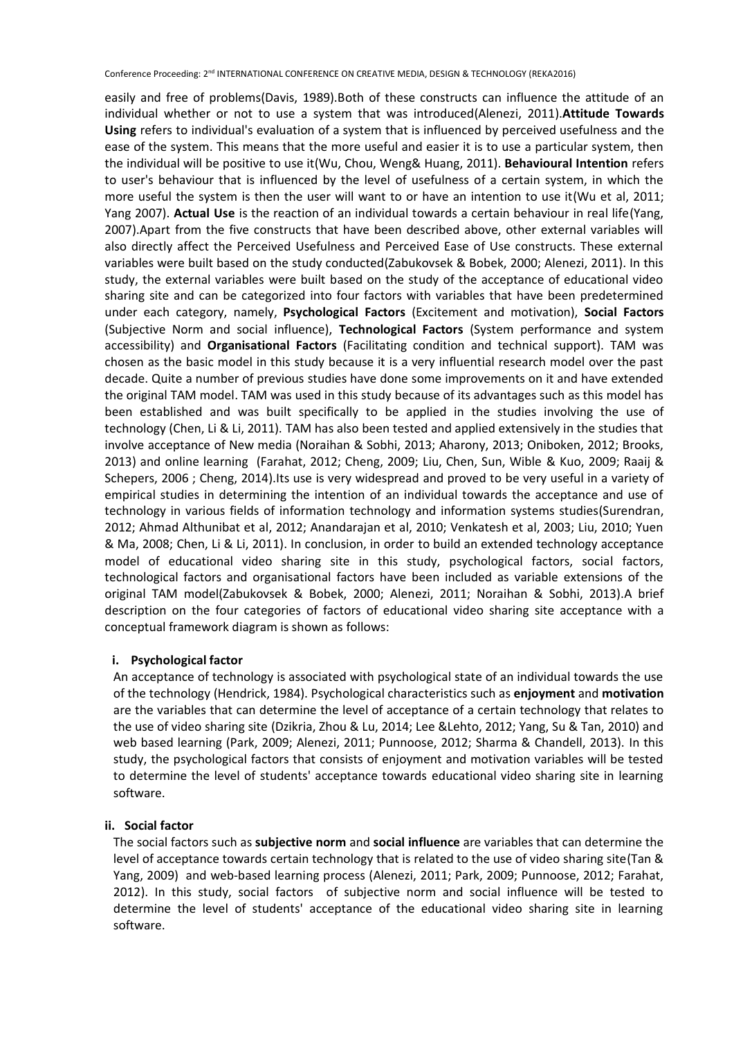easily and free of problems(Davis, 1989).Both of these constructs can influence the attitude of an individual whether or not to use a system that was introduced(Alenezi, 2011).**Attitude Towards Using** refers to individual's evaluation of a system that is influenced by perceived usefulness and the ease of the system. This means that the more useful and easier it is to use a particular system, then the individual will be positive to use it(Wu, Chou, Weng& Huang, 2011). **Behavioural Intention** refers to user's behaviour that is influenced by the level of usefulness of a certain system, in which the more useful the system is then the user will want to or have an intention to use it(Wu et al, 2011; Yang 2007). **Actual Use** is the reaction of an individual towards a certain behaviour in real life(Yang, 2007).Apart from the five constructs that have been described above, other external variables will also directly affect the Perceived Usefulness and Perceived Ease of Use constructs. These external variables were built based on the study conducted(Zabukovsek & Bobek, 2000; Alenezi, 2011). In this study, the external variables were built based on the study of the acceptance of educational video sharing site and can be categorized into four factors with variables that have been predetermined under each category, namely, **Psychological Factors** (Excitement and motivation), **Social Factors** (Subjective Norm and social influence), **Technological Factors** (System performance and system accessibility) and **Organisational Factors** (Facilitating condition and technical support). TAM was chosen as the basic model in this study because it is a very influential research model over the past decade. Quite a number of previous studies have done some improvements on it and have extended the original TAM model. TAM was used in this study because of its advantages such as this model has been established and was built specifically to be applied in the studies involving the use of technology (Chen, Li & Li, 2011). TAM has also been tested and applied extensively in the studies that involve acceptance of New media (Noraihan & Sobhi, 2013; Aharony, 2013; Oniboken, 2012; Brooks, 2013) and online learning (Farahat, 2012; Cheng, 2009; Liu, Chen, Sun, Wible & Kuo, 2009; Raaij & Schepers, 2006 ; Cheng, 2014).Its use is very widespread and proved to be very useful in a variety of empirical studies in determining the intention of an individual towards the acceptance and use of technology in various fields of information technology and information systems studies(Surendran, 2012; Ahmad Althunibat et al, 2012; Anandarajan et al, 2010; Venkatesh et al, 2003; Liu, 2010; Yuen & Ma, 2008; Chen, Li & Li, 2011). In conclusion, in order to build an extended technology acceptance model of educational video sharing site in this study, psychological factors, social factors, technological factors and organisational factors have been included as variable extensions of the original TAM model(Zabukovsek & Bobek, 2000; Alenezi, 2011; Noraihan & Sobhi, 2013).A brief description on the four categories of factors of educational video sharing site acceptance with a conceptual framework diagram is shown as follows:

## **i. Psychological factor**

An acceptance of technology is associated with psychological state of an individual towards the use of the technology (Hendrick, 1984). Psychological characteristics such as **enjoyment** and **motivation** are the variables that can determine the level of acceptance of a certain technology that relates to the use of video sharing site (Dzikria, Zhou & Lu, 2014; Lee &Lehto, 2012; Yang, Su & Tan, 2010) and web based learning (Park, 2009; Alenezi, 2011; Punnoose, 2012; Sharma & Chandell, 2013). In this study, the psychological factors that consists of enjoyment and motivation variables will be tested to determine the level of students' acceptance towards educational video sharing site in learning software.

#### **ii. Social factor**

The social factors such as **subjective norm** and **social influence** are variables that can determine the level of acceptance towards certain technology that is related to the use of video sharing site(Tan & Yang, 2009) and web-based learning process (Alenezi, 2011; Park, 2009; Punnoose, 2012; Farahat, 2012). In this study, social factors of subjective norm and social influence will be tested to determine the level of students' acceptance of the educational video sharing site in learning software.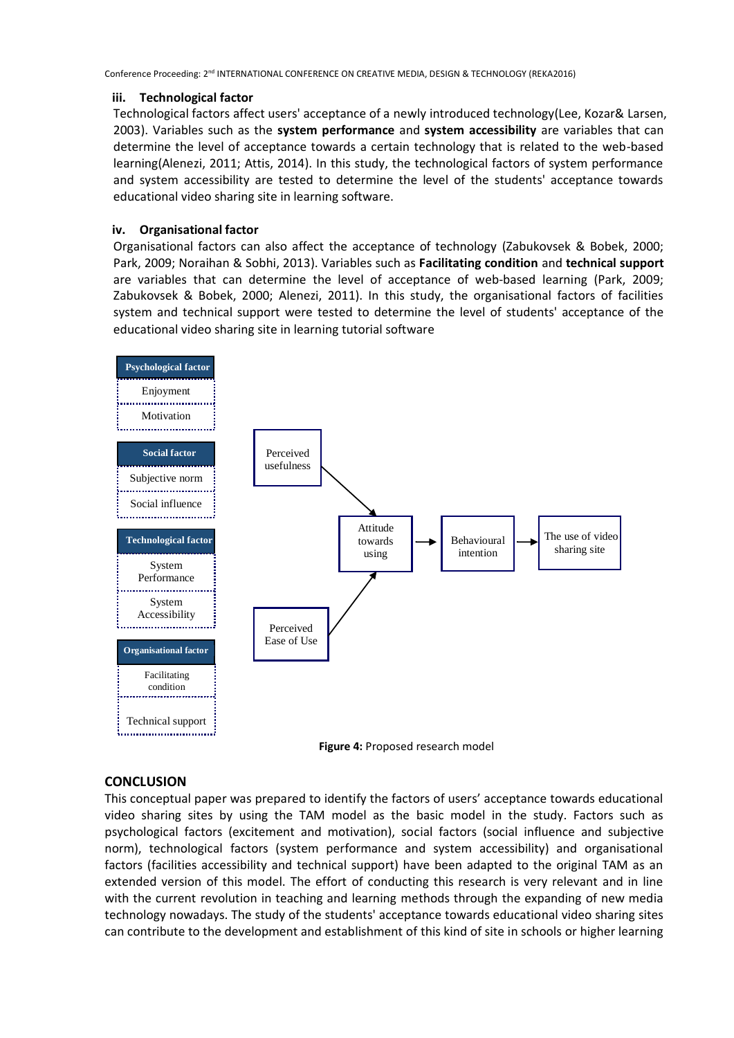## **iii. Technological factor**

Technological factors affect users' acceptance of a newly introduced technology(Lee, Kozar& Larsen, 2003). Variables such as the **system performance** and **system accessibility** are variables that can determine the level of acceptance towards a certain technology that is related to the web-based learning(Alenezi, 2011; Attis, 2014). In this study, the technological factors of system performance and system accessibility are tested to determine the level of the students' acceptance towards educational video sharing site in learning software.

# **iv. Organisational factor**

Organisational factors can also affect the acceptance of technology (Zabukovsek & Bobek, 2000; Park, 2009; Noraihan & Sobhi, 2013). Variables such as **Facilitating condition** and **technical support** are variables that can determine the level of acceptance of web-based learning (Park, 2009; Zabukovsek & Bobek, 2000; Alenezi, 2011). In this study, the organisational factors of facilities system and technical support were tested to determine the level of students' acceptance of the educational video sharing site in learning tutorial software



### **Figure 4:** Proposed research model

## **CONCLUSION**

This conceptual paper was prepared to identify the factors of users' acceptance towards educational video sharing sites by using the TAM model as the basic model in the study. Factors such as psychological factors (excitement and motivation), social factors (social influence and subjective norm), technological factors (system performance and system accessibility) and organisational factors (facilities accessibility and technical support) have been adapted to the original TAM as an extended version of this model. The effort of conducting this research is very relevant and in line with the current revolution in teaching and learning methods through the expanding of new media technology nowadays. The study of the students' acceptance towards educational video sharing sites can contribute to the development and establishment of this kind of site in schools or higher learning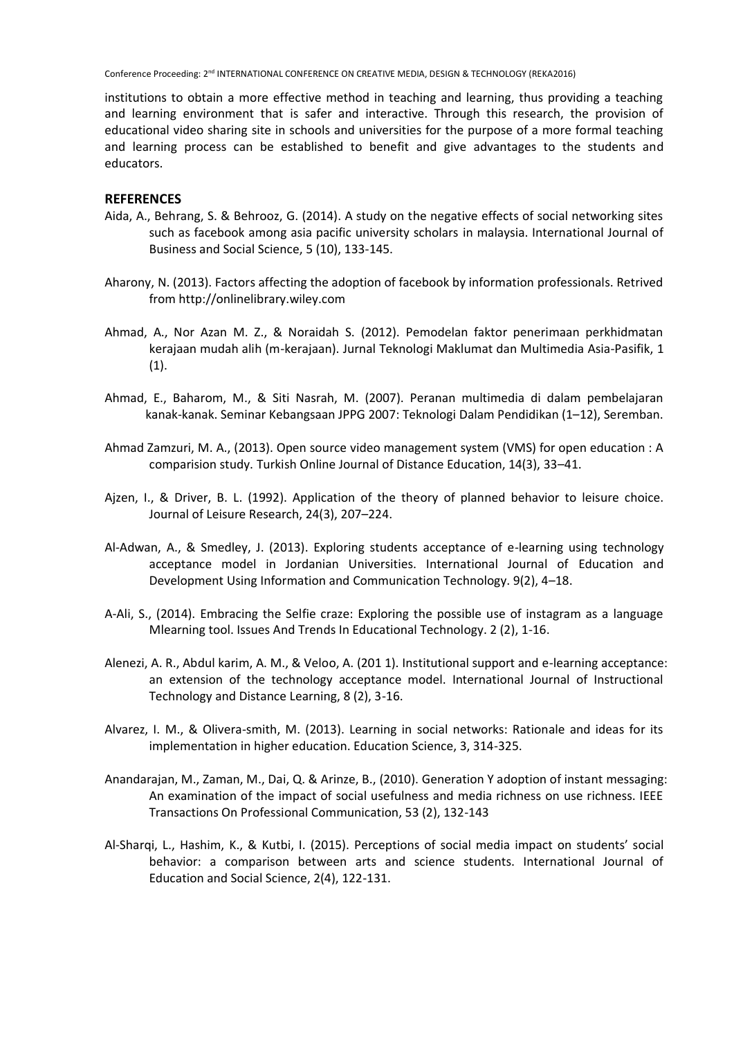institutions to obtain a more effective method in teaching and learning, thus providing a teaching and learning environment that is safer and interactive. Through this research, the provision of educational video sharing site in schools and universities for the purpose of a more formal teaching and learning process can be established to benefit and give advantages to the students and educators.

#### **REFERENCES**

- Aida, A., Behrang, S. & Behrooz, G. (2014). A study on the negative effects of social networking sites such as facebook among asia pacific university scholars in malaysia. International Journal of Business and Social Science, 5 (10), 133-145.
- Aharony, N. (2013). Factors affecting the adoption of facebook by information professionals. Retrived from http://onlinelibrary.wiley.com
- Ahmad, A., Nor Azan M. Z., & Noraidah S. (2012). Pemodelan faktor penerimaan perkhidmatan kerajaan mudah alih (m-kerajaan). Jurnal Teknologi Maklumat dan Multimedia Asia-Pasifik, 1  $(1).$
- Ahmad, E., Baharom, M., & Siti Nasrah, M. (2007). Peranan multimedia di dalam pembelajaran kanak-kanak. Seminar Kebangsaan JPPG 2007: Teknologi Dalam Pendidikan (1–12), Seremban.
- Ahmad Zamzuri, M. A., (2013). Open source video management system (VMS) for open education : A comparision study. Turkish Online Journal of Distance Education, 14(3), 33–41.
- Ajzen, I., & Driver, B. L. (1992). Application of the theory of planned behavior to leisure choice. Journal of Leisure Research, 24(3), 207–224.
- Al-Adwan, A., & Smedley, J. (2013). Exploring students acceptance of e-learning using technology acceptance model in Jordanian Universities. International Journal of Education and Development Using Information and Communication Technology. 9(2), 4–18.
- A-Ali, S., (2014). Embracing the Selfie craze: Exploring the possible use of instagram as a language Mlearning tool. Issues And Trends In Educational Technology. 2 (2), 1-16.
- Alenezi, A. R., Abdul karim, A. M., & Veloo, A. (201 1). Institutional support and e-learning acceptance: an extension of the technology acceptance model. International Journal of Instructional Technology and Distance Learning, 8 (2), 3-16.
- Alvarez, I. M., & Olivera-smith, M. (2013). Learning in social networks: Rationale and ideas for its implementation in higher education. Education Science, 3, 314-325.
- Anandarajan, M., Zaman, M., Dai, Q. & Arinze, B., (2010). Generation Y adoption of instant messaging: An examination of the impact of social usefulness and media richness on use richness. IEEE Transactions On Professional Communication, 53 (2), 132-143
- Al-Sharqi, L., Hashim, K., & Kutbi, I. (2015). Perceptions of social media impact on students' social behavior: a comparison between arts and science students. International Journal of Education and Social Science, 2(4), 122-131.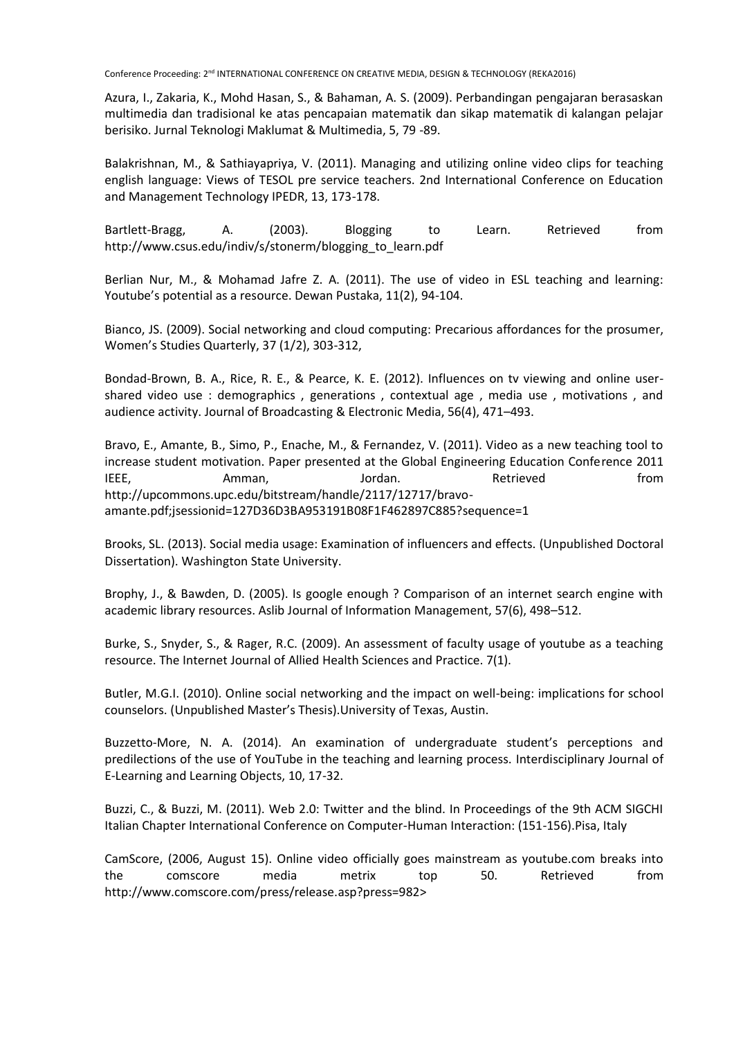Azura, I., Zakaria, K., Mohd Hasan, S., & Bahaman, A. S. (2009). Perbandingan pengajaran berasaskan multimedia dan tradisional ke atas pencapaian matematik dan sikap matematik di kalangan pelajar berisiko. Jurnal Teknologi Maklumat & Multimedia, 5, 79 -89.

Balakrishnan, M., & Sathiayapriya, V. (2011). Managing and utilizing online video clips for teaching english language: Views of TESOL pre service teachers. 2nd International Conference on Education and Management Technology IPEDR, 13, 173-178.

Bartlett-Bragg, A. (2003). Blogging to Learn. Retrieved from http://www.csus.edu/indiv/s/stonerm/blogging\_to\_learn.pdf

Berlian Nur, M., & Mohamad Jafre Z. A. (2011). The use of video in ESL teaching and learning: Youtube's potential as a resource. Dewan Pustaka, 11(2), 94-104.

Bianco, JS. (2009). Social networking and cloud computing: Precarious affordances for the prosumer, Women's Studies Quarterly, 37 (1/2), 303-312,

Bondad-Brown, B. A., Rice, R. E., & Pearce, K. E. (2012). Influences on tv viewing and online usershared video use : demographics , generations , contextual age , media use , motivations , and audience activity. Journal of Broadcasting & Electronic Media, 56(4), 471–493.

Bravo, E., Amante, B., Simo, P., Enache, M., & Fernandez, V. (2011). Video as a new teaching tool to increase student motivation. Paper presented at the Global Engineering Education Conference 2011 IEEE, Amman, Jordan. Retrieved from http://upcommons.upc.edu/bitstream/handle/2117/12717/bravoamante.pdf;jsessionid=127D36D3BA953191B08F1F462897C885?sequence=1

Brooks, SL. (2013). Social media usage: Examination of influencers and effects. (Unpublished Doctoral Dissertation). Washington State University.

Brophy, J., & Bawden, D. (2005). Is google enough ? Comparison of an internet search engine with academic library resources. Aslib Journal of Information Management, 57(6), 498–512.

Burke, S., Snyder, S., & Rager, R.C. (2009). An assessment of faculty usage of youtube as a teaching resource. The Internet Journal of Allied Health Sciences and Practice. 7(1).

Butler, M.G.I. (2010). Online social networking and the impact on well-being: implications for school counselors. (Unpublished Master's Thesis).University of Texas, Austin.

Buzzetto-More, N. A. (2014). An examination of undergraduate student's perceptions and predilections of the use of YouTube in the teaching and learning process. Interdisciplinary Journal of E-Learning and Learning Objects, 10, 17-32.

Buzzi, C., & Buzzi, M. (2011). Web 2.0: Twitter and the blind. In Proceedings of the 9th ACM SIGCHI Italian Chapter International Conference on Computer-Human Interaction: (151-156).Pisa, Italy

CamScore, (2006, August 15). Online video officially goes mainstream as youtube.com breaks into the comscore media metrix top 50. Retrieved from http://www.comscore.com/press/release.asp?press=982>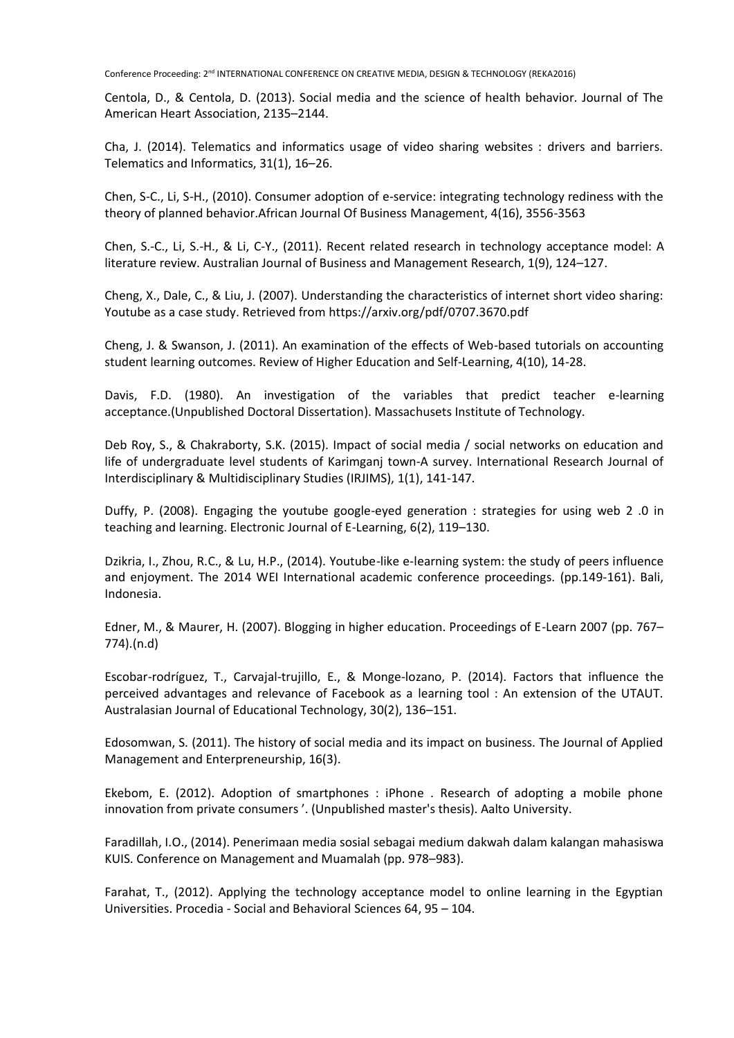Centola, D., & Centola, D. (2013). Social media and the science of health behavior. Journal of The American Heart Association, 2135–2144.

Cha, J. (2014). Telematics and informatics usage of video sharing websites : drivers and barriers. Telematics and Informatics, 31(1), 16–26.

Chen, S-C., Li, S-H., (2010). Consumer adoption of e-service: integrating technology rediness with the theory of planned behavior.African Journal Of Business Management, 4(16), 3556-3563

Chen, S.-C., Li, S.-H., & Li, C-Y., (2011). Recent related research in technology acceptance model: A literature review. Australian Journal of Business and Management Research, 1(9), 124–127.

Cheng, X., Dale, C., & Liu, J. (2007). Understanding the characteristics of internet short video sharing: Youtube as a case study. Retrieved from https://arxiv.org/pdf/0707.3670.pdf

Cheng, J. & Swanson, J. (2011). An examination of the effects of Web-based tutorials on accounting student learning outcomes. Review of Higher Education and Self-Learning, 4(10), 14-28.

Davis, F.D. (1980). An investigation of the variables that predict teacher e-learning acceptance.(Unpublished Doctoral Dissertation). Massachusets Institute of Technology.

Deb Roy, S., & Chakraborty, S.K. (2015). Impact of social media / social networks on education and life of undergraduate level students of Karimganj town-A survey. International Research Journal of Interdisciplinary & Multidisciplinary Studies (IRJIMS), 1(1), 141-147.

Duffy, P. (2008). Engaging the youtube google-eyed generation : strategies for using web 2 .0 in teaching and learning. Electronic Journal of E-Learning, 6(2), 119–130.

Dzikria, I., Zhou, R.C., & Lu, H.P., (2014). Youtube-like e-learning system: the study of peers influence and enjoyment. The 2014 WEI International academic conference proceedings. (pp.149-161). Bali, Indonesia.

Edner, M., & Maurer, H. (2007). Blogging in higher education. Proceedings of E-Learn 2007 (pp. 767– 774).(n.d)

Escobar-rodríguez, T., Carvajal-trujillo, E., & Monge-lozano, P. (2014). Factors that influence the perceived advantages and relevance of Facebook as a learning tool : An extension of the UTAUT. Australasian Journal of Educational Technology, 30(2), 136–151.

Edosomwan, S. (2011). The history of social media and its impact on business. The Journal of Applied Management and Enterpreneurship, 16(3).

Ekebom, E. (2012). Adoption of smartphones : iPhone . Research of adopting a mobile phone innovation from private consumers '. (Unpublished master's thesis). Aalto University.

Faradillah, I.O., (2014). Penerimaan media sosial sebagai medium dakwah dalam kalangan mahasiswa KUIS. Conference on Management and Muamalah (pp. 978–983).

Farahat, T., (2012). Applying the technology acceptance model to online learning in the Egyptian Universities. Procedia - Social and Behavioral Sciences 64, 95 – 104.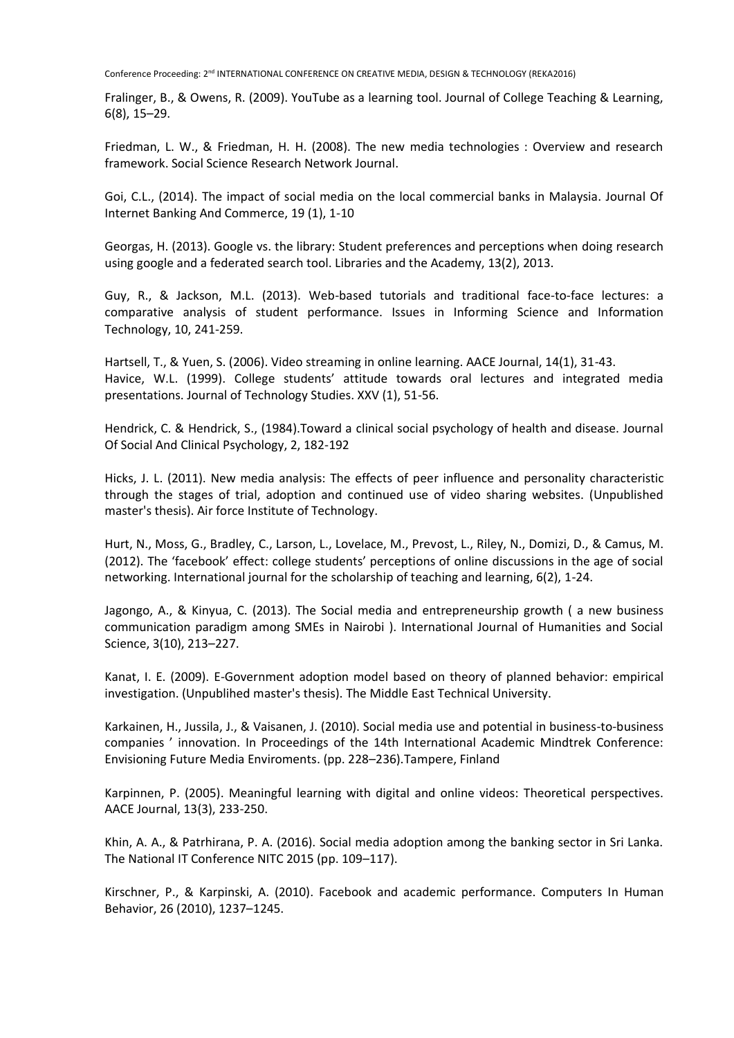Fralinger, B., & Owens, R. (2009). YouTube as a learning tool. Journal of College Teaching & Learning, 6(8), 15–29.

Friedman, L. W., & Friedman, H. H. (2008). The new media technologies : Overview and research framework. Social Science Research Network Journal.

Goi, C.L., (2014). The impact of social media on the local commercial banks in Malaysia. Journal Of Internet Banking And Commerce, 19 (1), 1-10

Georgas, H. (2013). Google vs. the library: Student preferences and perceptions when doing research using google and a federated search tool. Libraries and the Academy, 13(2), 2013.

Guy, R., & Jackson, M.L. (2013). Web-based tutorials and traditional face-to-face lectures: a comparative analysis of student performance. Issues in Informing Science and Information Technology, 10, 241-259.

Hartsell, T., & Yuen, S. (2006). Video streaming in online learning. AACE Journal, 14(1), 31-43. Havice, W.L. (1999). College students' attitude towards oral lectures and integrated media presentations. Journal of Technology Studies. XXV (1), 51-56.

Hendrick, C. & Hendrick, S., (1984).Toward a clinical social psychology of health and disease. Journal Of Social And Clinical Psychology, 2, 182-192

Hicks, J. L. (2011). New media analysis: The effects of peer influence and personality characteristic through the stages of trial, adoption and continued use of video sharing websites. (Unpublished master's thesis). Air force Institute of Technology.

Hurt, N., Moss, G., Bradley, C., Larson, L., Lovelace, M., Prevost, L., Riley, N., Domizi, D., & Camus, M. (2012). The 'facebook' effect: college students' perceptions of online discussions in the age of social networking. International journal for the scholarship of teaching and learning, 6(2), 1-24.

Jagongo, A., & Kinyua, C. (2013). The Social media and entrepreneurship growth ( a new business communication paradigm among SMEs in Nairobi ). International Journal of Humanities and Social Science, 3(10), 213–227.

Kanat, I. E. (2009). E-Government adoption model based on theory of planned behavior: empirical investigation. (Unpublihed master's thesis). The Middle East Technical University.

Karkainen, H., Jussila, J., & Vaisanen, J. (2010). Social media use and potential in business-to-business companies ' innovation. In Proceedings of the 14th International Academic Mindtrek Conference: Envisioning Future Media Enviroments. (pp. 228–236).Tampere, Finland

Karpinnen, P. (2005). Meaningful learning with digital and online videos: Theoretical perspectives. AACE Journal, 13(3), 233-250.

Khin, A. A., & Patrhirana, P. A. (2016). Social media adoption among the banking sector in Sri Lanka. The National IT Conference NITC 2015 (pp. 109–117).

Kirschner, P., & Karpinski, A. (2010). Facebook and academic performance. Computers In Human Behavior, 26 (2010), 1237–1245.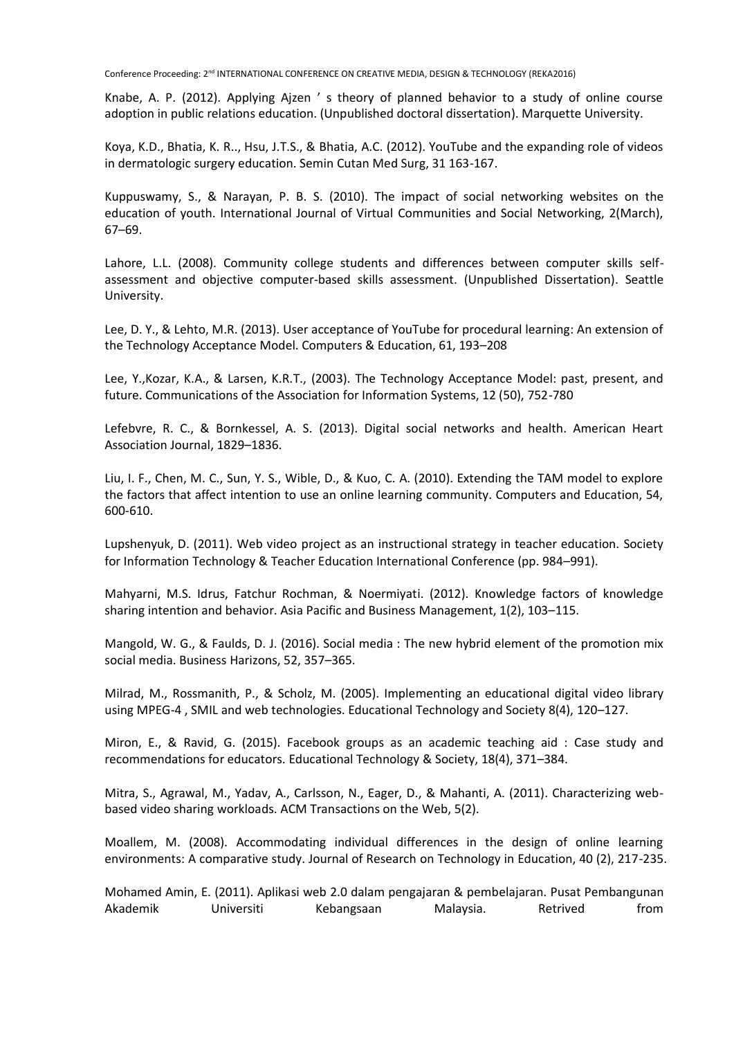Knabe, A. P. (2012). Applying Ajzen ' s theory of planned behavior to a study of online course adoption in public relations education. (Unpublished doctoral dissertation). Marquette University.

Koya, K.D., Bhatia, K. R.., Hsu, J.T.S., & Bhatia, A.C. (2012). YouTube and the expanding role of videos in dermatologic surgery education. Semin Cutan Med Surg, 31 163-167.

Kuppuswamy, S., & Narayan, P. B. S. (2010). The impact of social networking websites on the education of youth. International Journal of Virtual Communities and Social Networking, 2(March), 67–69.

Lahore, L.L. (2008). Community college students and differences between computer skills selfassessment and objective computer-based skills assessment. (Unpublished Dissertation). Seattle University.

Lee, D. Y., & Lehto, M.R. (2013). User acceptance of YouTube for procedural learning: An extension of the Technology Acceptance Model. Computers & Education, 61, 193–208

Lee, Y.,Kozar, K.A., & Larsen, K.R.T., (2003). The Technology Acceptance Model: past, present, and future. Communications of the Association for Information Systems, 12 (50), 752-780

Lefebvre, R. C., & Bornkessel, A. S. (2013). Digital social networks and health. American Heart Association Journal, 1829–1836.

Liu, I. F., Chen, M. C., Sun, Y. S., Wible, D., & Kuo, C. A. (2010). Extending the TAM model to explore the factors that affect intention to use an online learning community. Computers and Education, 54, 600-610.

Lupshenyuk, D. (2011). Web video project as an instructional strategy in teacher education. Society for Information Technology & Teacher Education International Conference (pp. 984–991).

Mahyarni, M.S. Idrus, Fatchur Rochman, & Noermiyati. (2012). Knowledge factors of knowledge sharing intention and behavior. Asia Pacific and Business Management, 1(2), 103–115.

Mangold, W. G., & Faulds, D. J. (2016). Social media : The new hybrid element of the promotion mix social media. Business Harizons, 52, 357–365.

Milrad, M., Rossmanith, P., & Scholz, M. (2005). Implementing an educational digital video library using MPEG-4 , SMIL and web technologies. Educational Technology and Society 8(4), 120–127.

Miron, E., & Ravid, G. (2015). Facebook groups as an academic teaching aid : Case study and recommendations for educators. Educational Technology & Society, 18(4), 371–384.

Mitra, S., Agrawal, M., Yadav, A., Carlsson, N., Eager, D., & Mahanti, A. (2011). Characterizing webbased video sharing workloads. ACM Transactions on the Web, 5(2).

Moallem, M. (2008). Accommodating individual differences in the design of online learning environments: A comparative study. Journal of Research on Technology in Education, 40 (2), 217-235.

Mohamed Amin, E. (2011). Aplikasi web 2.0 dalam pengajaran & pembelajaran. Pusat Pembangunan Akademik Universiti Kebangsaan Malaysia. Retrived from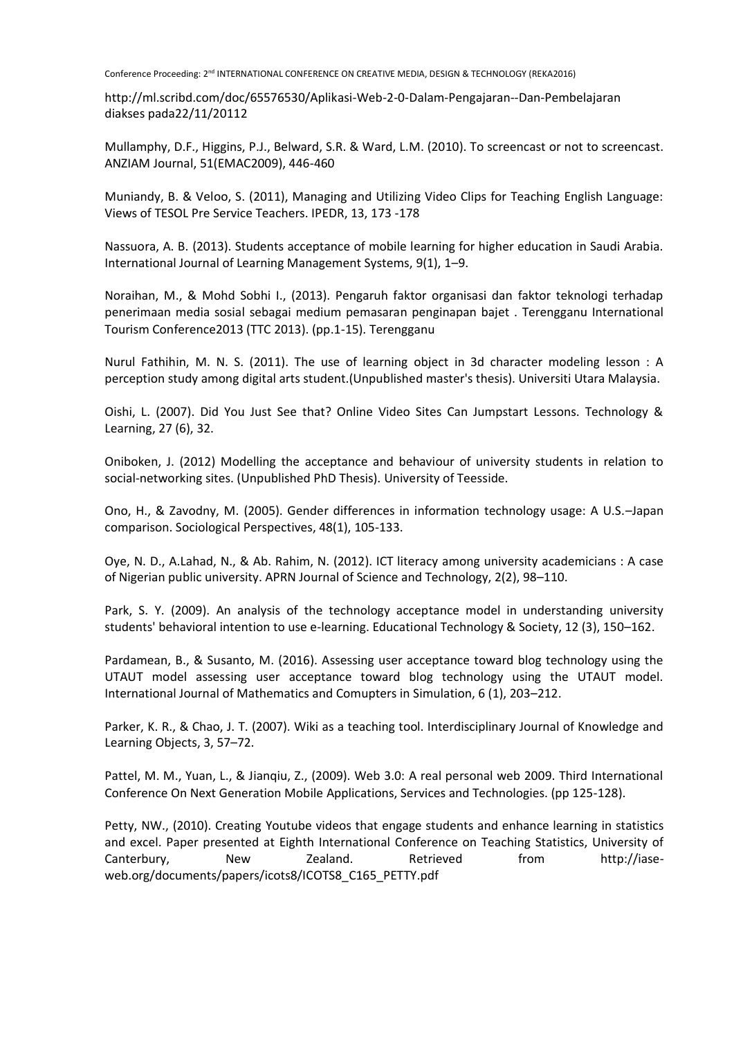http://ml.scribd.com/doc/65576530/Aplikasi-Web-2-0-Dalam-Pengajaran--Dan-Pembelajaran diakses pada22/11/20112

Mullamphy, D.F., Higgins, P.J., Belward, S.R. & Ward, L.M. (2010). To screencast or not to screencast. ANZIAM Journal, 51(EMAC2009), 446-460

Muniandy, B. & Veloo, S. (2011), Managing and Utilizing Video Clips for Teaching English Language: Views of TESOL Pre Service Teachers. IPEDR, 13, 173 -178

Nassuora, A. B. (2013). Students acceptance of mobile learning for higher education in Saudi Arabia. International Journal of Learning Management Systems, 9(1), 1–9.

Noraihan, M., & Mohd Sobhi I., (2013). Pengaruh faktor organisasi dan faktor teknologi terhadap penerimaan media sosial sebagai medium pemasaran penginapan bajet . Terengganu International Tourism Conference2013 (TTC 2013). (pp.1-15). Terengganu

Nurul Fathihin, M. N. S. (2011). The use of learning object in 3d character modeling lesson : A perception study among digital arts student.(Unpublished master's thesis). Universiti Utara Malaysia.

Oishi, L. (2007). Did You Just See that? Online Video Sites Can Jumpstart Lessons. Technology & Learning, 27 (6), 32.

Oniboken, J. (2012) Modelling the acceptance and behaviour of university students in relation to social-networking sites. (Unpublished PhD Thesis). University of Teesside.

Ono, H., & Zavodny, M. (2005). Gender differences in information technology usage: A U.S.–Japan comparison. Sociological Perspectives, 48(1), 105-133.

Oye, N. D., A.Lahad, N., & Ab. Rahim, N. (2012). ICT literacy among university academicians : A case of Nigerian public university. APRN Journal of Science and Technology, 2(2), 98–110.

Park, S. Y. (2009). An analysis of the technology acceptance model in understanding university students' behavioral intention to use e-learning. Educational Technology & Society, 12 (3), 150–162.

Pardamean, B., & Susanto, M. (2016). Assessing user acceptance toward blog technology using the UTAUT model assessing user acceptance toward blog technology using the UTAUT model. International Journal of Mathematics and Comupters in Simulation, 6 (1), 203–212.

Parker, K. R., & Chao, J. T. (2007). Wiki as a teaching tool. Interdisciplinary Journal of Knowledge and Learning Objects, 3, 57–72.

Pattel, M. M., Yuan, L., & Jianqiu, Z., (2009). Web 3.0: A real personal web 2009. Third International Conference On Next Generation Mobile Applications, Services and Technologies. (pp 125-128).

Petty, NW., (2010). Creating Youtube videos that engage students and enhance learning in statistics and excel. Paper presented at Eighth International Conference on Teaching Statistics, University of Canterbury, New Zealand. Retrieved from http://iaseweb.org/documents/papers/icots8/ICOTS8\_C165\_PETTY.pdf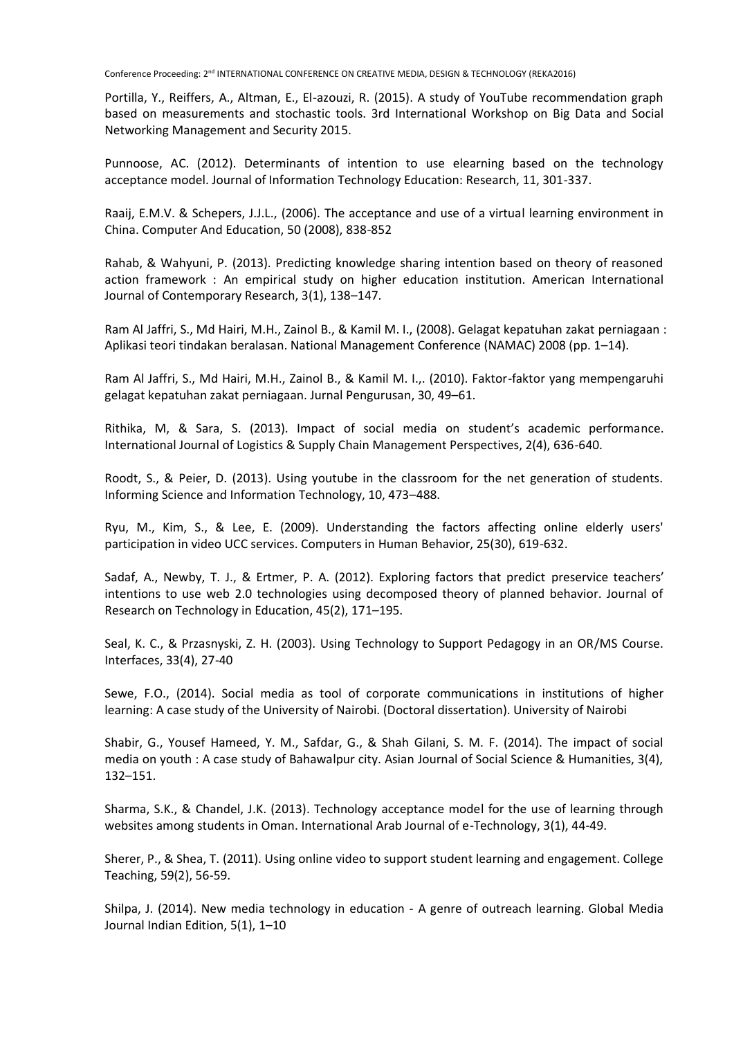Portilla, Y., Reiffers, A., Altman, E., El-azouzi, R. (2015). A study of YouTube recommendation graph based on measurements and stochastic tools. 3rd International Workshop on Big Data and Social Networking Management and Security 2015.

Punnoose, AC. (2012). Determinants of intention to use elearning based on the technology acceptance model. Journal of Information Technology Education: Research, 11, 301-337.

Raaij, E.M.V. & Schepers, J.J.L., (2006). The acceptance and use of a virtual learning environment in China. Computer And Education, 50 (2008), 838-852

Rahab, & Wahyuni, P. (2013). Predicting knowledge sharing intention based on theory of reasoned action framework : An empirical study on higher education institution. American International Journal of Contemporary Research, 3(1), 138–147.

Ram Al Jaffri, S., Md Hairi, M.H., Zainol B., & Kamil M. I., (2008). Gelagat kepatuhan zakat perniagaan : Aplikasi teori tindakan beralasan. National Management Conference (NAMAC) 2008 (pp. 1–14).

Ram Al Jaffri, S., Md Hairi, M.H., Zainol B., & Kamil M. I.,. (2010). Faktor-faktor yang mempengaruhi gelagat kepatuhan zakat perniagaan. Jurnal Pengurusan, 30, 49–61.

Rithika, M, & Sara, S. (2013). Impact of social media on student's academic performance. International Journal of Logistics & Supply Chain Management Perspectives, 2(4), 636-640.

Roodt, S., & Peier, D. (2013). Using youtube in the classroom for the net generation of students. Informing Science and Information Technology, 10, 473–488.

Ryu, M., Kim, S., & Lee, E. (2009). Understanding the factors affecting online elderly users' participation in video UCC services. Computers in Human Behavior, 25(30), 619-632.

Sadaf, A., Newby, T. J., & Ertmer, P. A. (2012). Exploring factors that predict preservice teachers' intentions to use web 2.0 technologies using decomposed theory of planned behavior. Journal of Research on Technology in Education, 45(2), 171–195.

Seal, K. C., & Przasnyski, Z. H. (2003). Using Technology to Support Pedagogy in an OR/MS Course. Interfaces, 33(4), 27-40

Sewe, F.O., (2014). Social media as tool of corporate communications in institutions of higher learning: A case study of the University of Nairobi. (Doctoral dissertation). University of Nairobi

Shabir, G., Yousef Hameed, Y. M., Safdar, G., & Shah Gilani, S. M. F. (2014). The impact of social media on youth : A case study of Bahawalpur city. Asian Journal of Social Science & Humanities, 3(4), 132–151.

Sharma, S.K., & Chandel, J.K. (2013). Technology acceptance model for the use of learning through websites among students in Oman. International Arab Journal of e-Technology, 3(1), 44-49.

Sherer, P., & Shea, T. (2011). Using online video to support student learning and engagement. College Teaching, 59(2), 56-59.

Shilpa, J. (2014). New media technology in education - A genre of outreach learning. Global Media Journal Indian Edition, 5(1), 1–10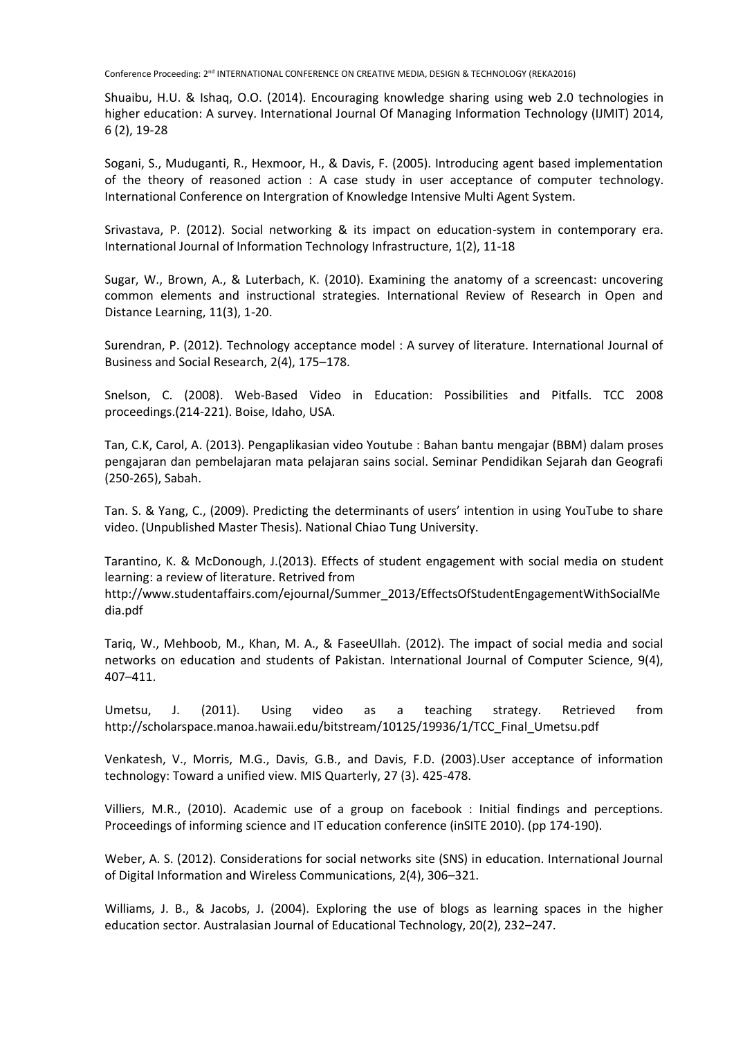Shuaibu, H.U. & Ishaq, O.O. (2014). Encouraging knowledge sharing using web 2.0 technologies in higher education: A survey. International Journal Of Managing Information Technology (IJMIT) 2014, 6 (2), 19-28

Sogani, S., Muduganti, R., Hexmoor, H., & Davis, F. (2005). Introducing agent based implementation of the theory of reasoned action : A case study in user acceptance of computer technology. International Conference on Intergration of Knowledge Intensive Multi Agent System.

Srivastava, P. (2012). Social networking & its impact on education-system in contemporary era. International Journal of Information Technology Infrastructure, 1(2), 11-18

Sugar, W., Brown, A., & Luterbach, K. (2010). Examining the anatomy of a screencast: uncovering common elements and instructional strategies. International Review of Research in Open and Distance Learning, 11(3), 1-20.

Surendran, P. (2012). Technology acceptance model : A survey of literature. International Journal of Business and Social Research, 2(4), 175–178.

Snelson, C. (2008). Web-Based Video in Education: Possibilities and Pitfalls. TCC 2008 proceedings.(214-221). Boise, Idaho, USA.

Tan, C.K, Carol, A. (2013). Pengaplikasian video Youtube : Bahan bantu mengajar (BBM) dalam proses pengajaran dan pembelajaran mata pelajaran sains social. Seminar Pendidikan Sejarah dan Geografi (250-265), Sabah.

Tan. S. & Yang, C., (2009). Predicting the determinants of users' intention in using YouTube to share video. (Unpublished Master Thesis). National Chiao Tung University.

Tarantino, K. & McDonough, J.(2013). Effects of student engagement with social media on student learning: a review of literature. Retrived from

http://www.studentaffairs.com/ejournal/Summer\_2013/EffectsOfStudentEngagementWithSocialMe dia.pdf

Tariq, W., Mehboob, M., Khan, M. A., & FaseeUllah. (2012). The impact of social media and social networks on education and students of Pakistan. International Journal of Computer Science, 9(4), 407–411.

Umetsu, J. (2011). Using video as a teaching strategy. Retrieved from http://scholarspace.manoa.hawaii.edu/bitstream/10125/19936/1/TCC\_Final\_Umetsu.pdf

Venkatesh, V., Morris, M.G., Davis, G.B., and Davis, F.D. (2003).User acceptance of information technology: Toward a unified view. MIS Quarterly, 27 (3). 425-478.

Villiers, M.R., (2010). Academic use of a group on facebook : Initial findings and perceptions. Proceedings of informing science and IT education conference (inSITE 2010). (pp 174-190).

Weber, A. S. (2012). Considerations for social networks site (SNS) in education. International Journal of Digital Information and Wireless Communications, 2(4), 306–321.

Williams, J. B., & Jacobs, J. (2004). Exploring the use of blogs as learning spaces in the higher education sector. Australasian Journal of Educational Technology, 20(2), 232–247.